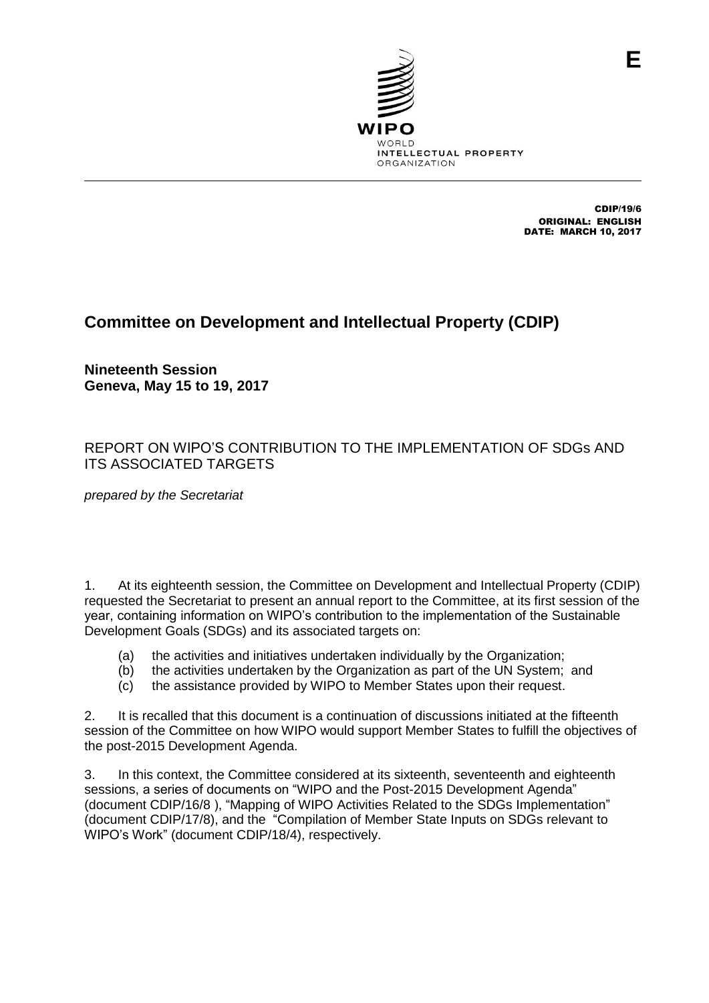

CDIP/19/6 ORIGINAL: ENGLISH DATE: MARCH 10, 2017

### **Committee on Development and Intellectual Property (CDIP)**

**Nineteenth Session Geneva, May 15 to 19, 2017**

### REPORT ON WIPO'S CONTRIBUTION TO THE IMPLEMENTATION OF SDGs AND ITS ASSOCIATED TARGETS

*prepared by the Secretariat*

1. At its eighteenth session, the Committee on Development and Intellectual Property (CDIP) requested the Secretariat to present an annual report to the Committee, at its first session of the year, containing information on WIPO's contribution to the implementation of the Sustainable Development Goals (SDGs) and its associated targets on:

- (a) the activities and initiatives undertaken individually by the Organization;
- (b) the activities undertaken by the Organization as part of the UN System; and
- (c) the assistance provided by WIPO to Member States upon their request.

2. It is recalled that this document is a continuation of discussions initiated at the fifteenth session of the Committee on how WIPO would support Member States to fulfill the objectives of the post-2015 Development Agenda.

3. In this context, the Committee considered at its sixteenth, seventeenth and eighteenth sessions, a series of documents on "WIPO and the Post-2015 Development Agenda" (document CDIP/16/8 ), "Mapping of WIPO Activities Related to the SDGs Implementation" (document CDIP/17/8), and the "Compilation of Member State Inputs on SDGs relevant to WIPO's Work" (document CDIP/18/4), respectively.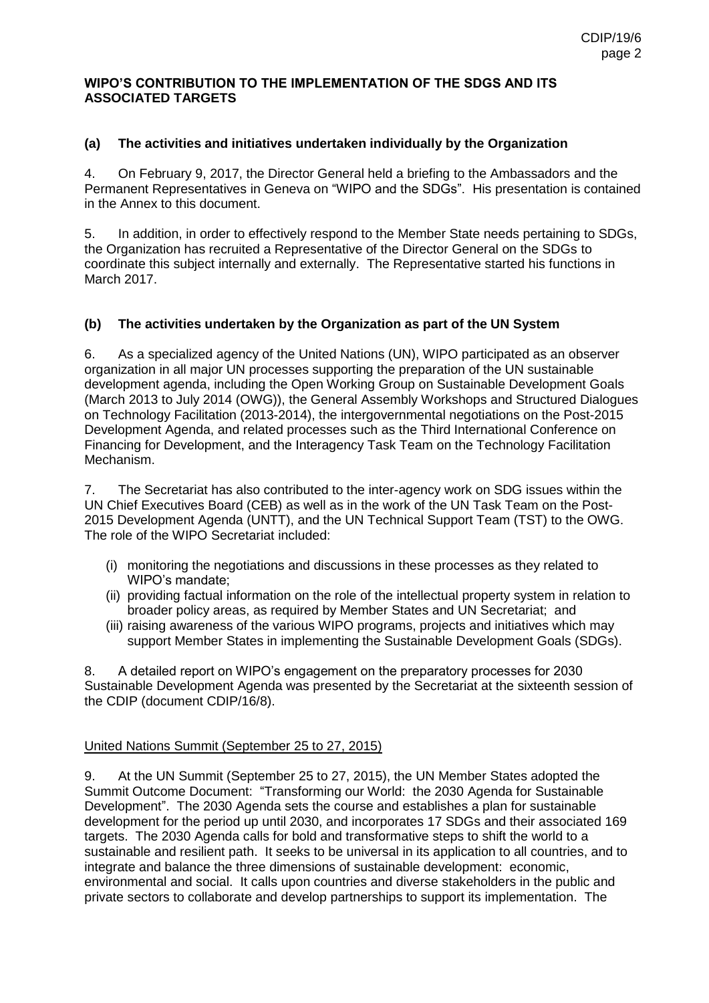### **WIPO'S CONTRIBUTION TO THE IMPLEMENTATION OF THE SDGS AND ITS ASSOCIATED TARGETS**

### **(a) The activities and initiatives undertaken individually by the Organization**

4. On February 9, 2017, the Director General held a briefing to the Ambassadors and the Permanent Representatives in Geneva on "WIPO and the SDGs". His presentation is contained in the Annex to this document.

5. In addition, in order to effectively respond to the Member State needs pertaining to SDGs, the Organization has recruited a Representative of the Director General on the SDGs to coordinate this subject internally and externally. The Representative started his functions in March 2017.

### **(b) The activities undertaken by the Organization as part of the UN System**

6. As a specialized agency of the United Nations (UN), WIPO participated as an observer organization in all major UN processes supporting the preparation of the UN sustainable development agenda, including the Open Working Group on Sustainable Development Goals (March 2013 to July 2014 (OWG)), the General Assembly Workshops and Structured Dialogues on Technology Facilitation (2013-2014), the intergovernmental negotiations on the Post-2015 Development Agenda, and related processes such as the Third International Conference on Financing for Development, and the Interagency Task Team on the Technology Facilitation Mechanism.

7. The Secretariat has also contributed to the inter-agency work on SDG issues within the UN Chief Executives Board (CEB) as well as in the work of the UN Task Team on the Post-2015 Development Agenda (UNTT), and the UN Technical Support Team (TST) to the OWG. The role of the WIPO Secretariat included:

- (i) monitoring the negotiations and discussions in these processes as they related to WIPO's mandate;
- (ii) providing factual information on the role of the intellectual property system in relation to broader policy areas, as required by Member States and UN Secretariat; and
- (iii) raising awareness of the various WIPO programs, projects and initiatives which may support Member States in implementing the Sustainable Development Goals (SDGs).

8. A detailed report on WIPO's engagement on the preparatory processes for 2030 Sustainable Development Agenda was presented by the Secretariat at the sixteenth session of the CDIP (document CDIP/16/8).

### United Nations Summit (September 25 to 27, 2015)

9. At the UN Summit (September 25 to 27, 2015), the UN Member States adopted the Summit Outcome Document: "Transforming our World: the 2030 Agenda for Sustainable Development". The 2030 Agenda sets the course and establishes a plan for sustainable development for the period up until 2030, and incorporates 17 SDGs and their associated 169 targets. The 2030 Agenda calls for bold and transformative steps to shift the world to a sustainable and resilient path. It seeks to be universal in its application to all countries, and to integrate and balance the three dimensions of sustainable development: economic, environmental and social. It calls upon countries and diverse stakeholders in the public and private sectors to collaborate and develop partnerships to support its implementation. The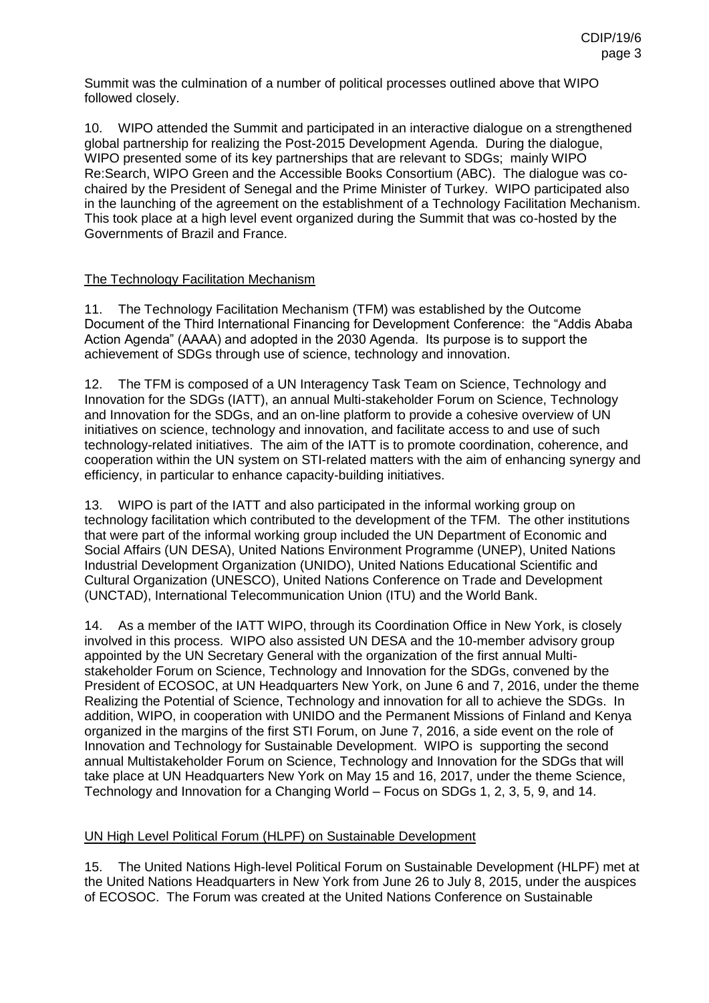Summit was the culmination of a number of political processes outlined above that WIPO followed closely.

10. WIPO attended the Summit and participated in an interactive dialogue on a strengthened global partnership for realizing the Post-2015 Development Agenda. During the dialogue, WIPO presented some of its key partnerships that are relevant to SDGs; mainly WIPO Re:Search, WIPO Green and the Accessible Books Consortium (ABC). The dialogue was cochaired by the President of Senegal and the Prime Minister of Turkey. WIPO participated also in the launching of the agreement on the establishment of a Technology Facilitation Mechanism. This took place at a high level event organized during the Summit that was co-hosted by the Governments of Brazil and France.

### The Technology Facilitation Mechanism

11. The Technology Facilitation Mechanism (TFM) was established by the Outcome Document of the Third International Financing for Development Conference: the "Addis Ababa Action Agenda" (AAAA) and adopted in the 2030 Agenda. Its purpose is to support the achievement of SDGs through use of science, technology and innovation.

12. The TFM is composed of a UN Interagency Task Team on Science, Technology and Innovation for the SDGs (IATT), an annual Multi-stakeholder Forum on Science, Technology and Innovation for the SDGs, and an on-line platform to provide a cohesive overview of UN initiatives on science, technology and innovation, and facilitate access to and use of such technology-related initiatives. The aim of the IATT is to promote coordination, coherence, and cooperation within the UN system on STI-related matters with the aim of enhancing synergy and efficiency, in particular to enhance capacity-building initiatives.

13. WIPO is part of the IATT and also participated in the informal working group on technology facilitation which contributed to the development of the TFM. The other institutions that were part of the informal working group included the UN Department of Economic and Social Affairs (UN DESA), United Nations Environment Programme (UNEP), United Nations Industrial Development Organization (UNIDO), United Nations Educational Scientific and Cultural Organization (UNESCO), United Nations Conference on Trade and Development (UNCTAD), International Telecommunication Union (ITU) and the World Bank.

14. As a member of the IATT WIPO, through its Coordination Office in New York, is closely involved in this process. WIPO also assisted UN DESA and the 10-member advisory group appointed by the UN Secretary General with the organization of the first annual Multistakeholder Forum on Science, Technology and Innovation for the SDGs, convened by the President of ECOSOC, at UN Headquarters New York, on June 6 and 7, 2016, under the theme Realizing the Potential of Science, Technology and innovation for all to achieve the SDGs. In addition, WIPO, in cooperation with UNIDO and the Permanent Missions of Finland and Kenya organized in the margins of the first STI Forum, on June 7, 2016, a side event on the role of Innovation and Technology for Sustainable Development. WIPO is supporting the second annual Multistakeholder Forum on Science, Technology and Innovation for the SDGs that will take place at UN Headquarters New York on May 15 and 16, 2017, under the theme Science, Technology and Innovation for a Changing World – Focus on SDGs 1, 2, 3, 5, 9, and 14.

### UN High Level Political Forum (HLPF) on Sustainable Development

15. The United Nations High-level Political Forum on Sustainable Development (HLPF) met at the United Nations Headquarters in New York from June 26 to July 8, 2015, under the auspices of ECOSOC. The Forum was created at the United Nations Conference on Sustainable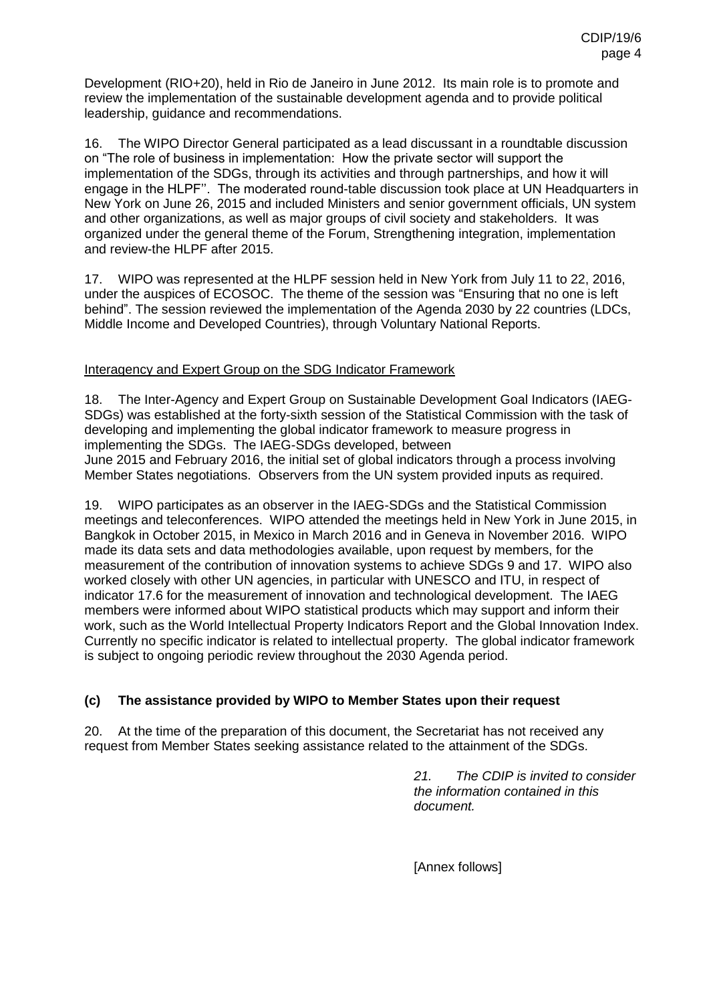Development (RIO+20), held in Rio de Janeiro in June 2012. Its main role is to promote and review the implementation of the sustainable development agenda and to provide political leadership, guidance and recommendations.

16. The WIPO Director General participated as a lead discussant in a roundtable discussion on "The role of business in implementation: How the private sector will support the implementation of the SDGs, through its activities and through partnerships, and how it will engage in the HLPF''. The moderated round-table discussion took place at UN Headquarters in New York on June 26, 2015 and included Ministers and senior government officials, UN system and other organizations, as well as major groups of civil society and stakeholders. It was organized under the general theme of the Forum, Strengthening integration, implementation and review-the HLPF after 2015.

17. WIPO was represented at the HLPF session held in New York from July 11 to 22, 2016, under the auspices of ECOSOC. The theme of the session was "Ensuring that no one is left behind". The session reviewed the implementation of the Agenda 2030 by 22 countries (LDCs, Middle Income and Developed Countries), through Voluntary National Reports.

### Interagency and Expert Group on the SDG Indicator Framework

18. The Inter-Agency and Expert Group on Sustainable Development Goal Indicators (IAEG-SDGs) was established at the forty-sixth session of the Statistical Commission with the task of developing and implementing the global indicator framework to measure progress in implementing the SDGs. The IAEG-SDGs developed, between June 2015 and February 2016, the initial set of global indicators through a process involving Member States negotiations. Observers from the UN system provided inputs as required.

19. WIPO participates as an observer in the IAEG-SDGs and the Statistical Commission meetings and teleconferences. WIPO attended the meetings held in New York in June 2015, in Bangkok in October 2015, in Mexico in March 2016 and in Geneva in November 2016. WIPO made its data sets and data methodologies available, upon request by members, for the measurement of the contribution of innovation systems to achieve SDGs 9 and 17. WIPO also worked closely with other UN agencies, in particular with UNESCO and ITU, in respect of indicator 17.6 for the measurement of innovation and technological development. The IAEG members were informed about WIPO statistical products which may support and inform their work, such as the World Intellectual Property Indicators Report and the Global Innovation Index. Currently no specific indicator is related to intellectual property. The global indicator framework is subject to ongoing periodic review throughout the 2030 Agenda period.

### **(c) The assistance provided by WIPO to Member States upon their request**

20. At the time of the preparation of this document, the Secretariat has not received any request from Member States seeking assistance related to the attainment of the SDGs.

> *21. The CDIP is invited to consider the information contained in this document.*

[Annex follows]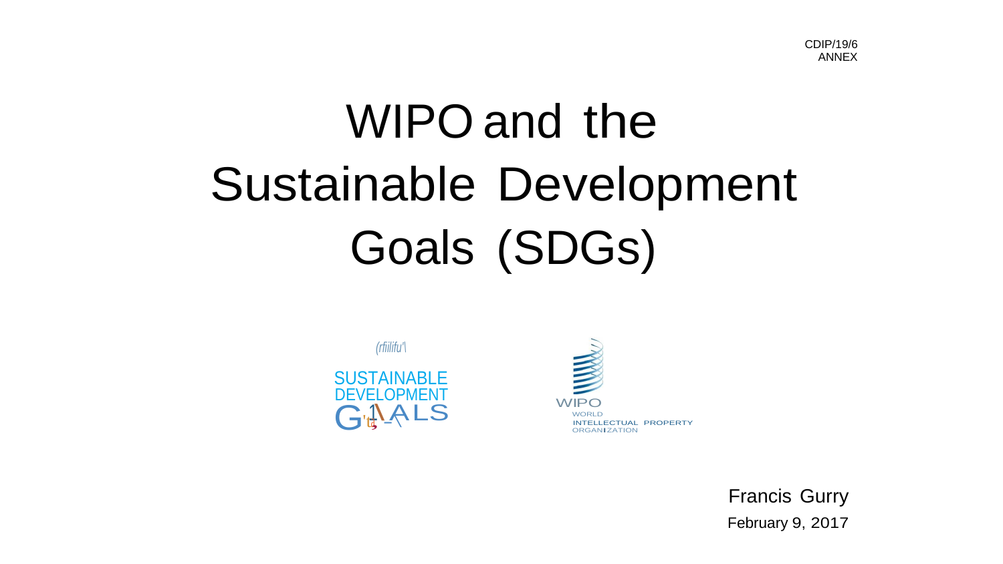# WIPO and the **Sustainable Development** Goals (SDGs)





**Francis Gurry** February 9, 2017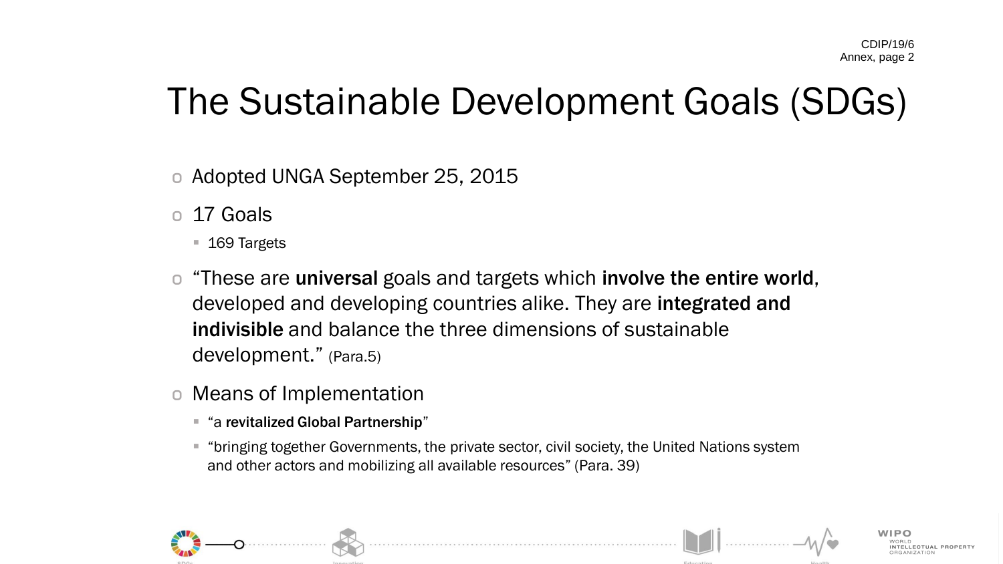## The Sustainable Development Goals (SDGs)

- o Adopted UNGA September 25, 2015
- 17 Goals
	- 169 Targets
- o "These are universal goals and targets which involve the entire world, developed and developing countries alike. They are integrated and indivisible and balance the three dimensions of sustainable development." (Para.5)
- o Means of Implementation
	- "a revitalized Global Partnership"
	- "bringing together Governments, the private sector, civil society, the United Nations system and other actors and mobilizing all available resources" (Para. 39)

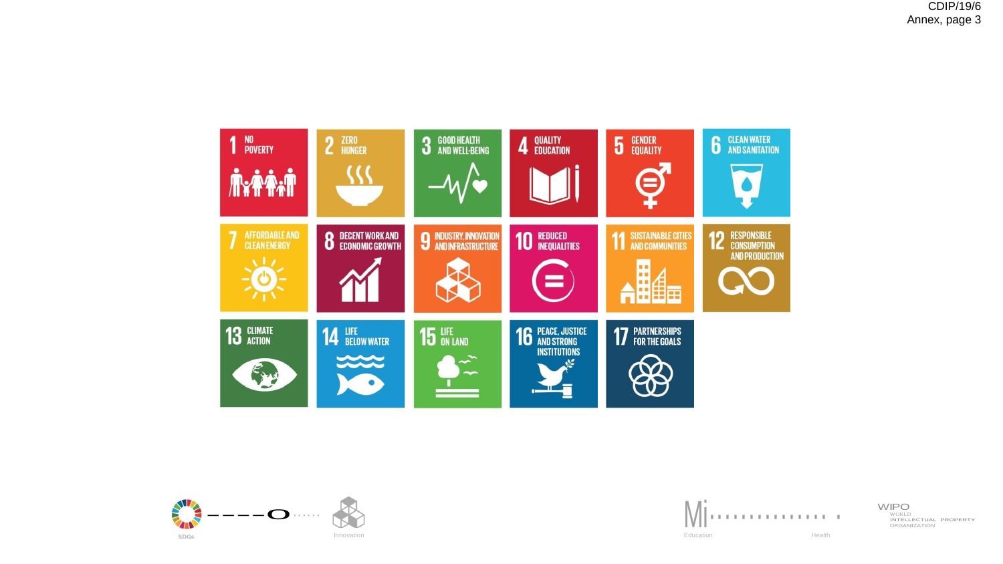





WORLD<br>INTELLECTUAL PROPERTY **ORGANIZATION** WIPO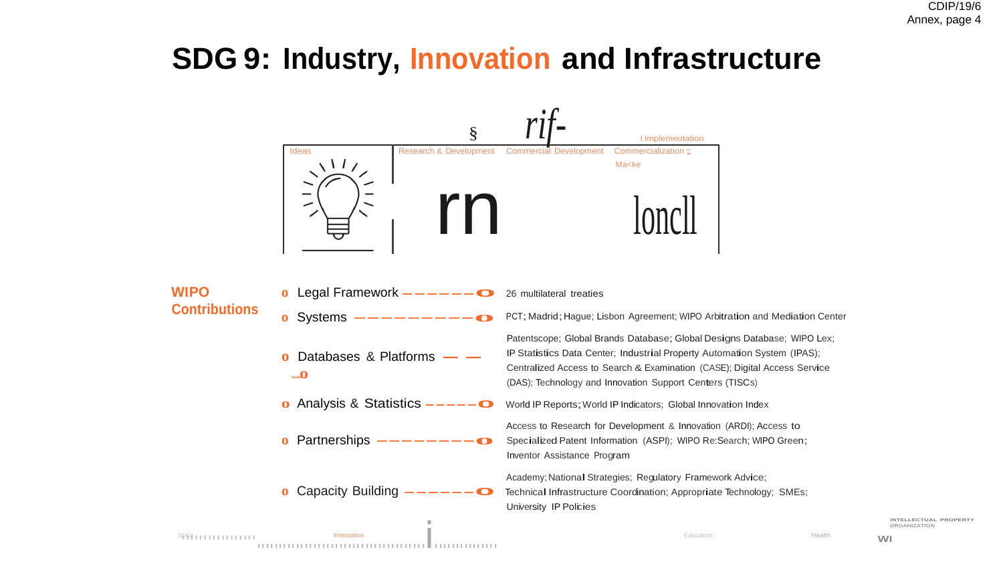## **SDG 9: Industry, Innovation and Infrastructure**



ORGANIZATION

INTELLECTUAL PROPERTY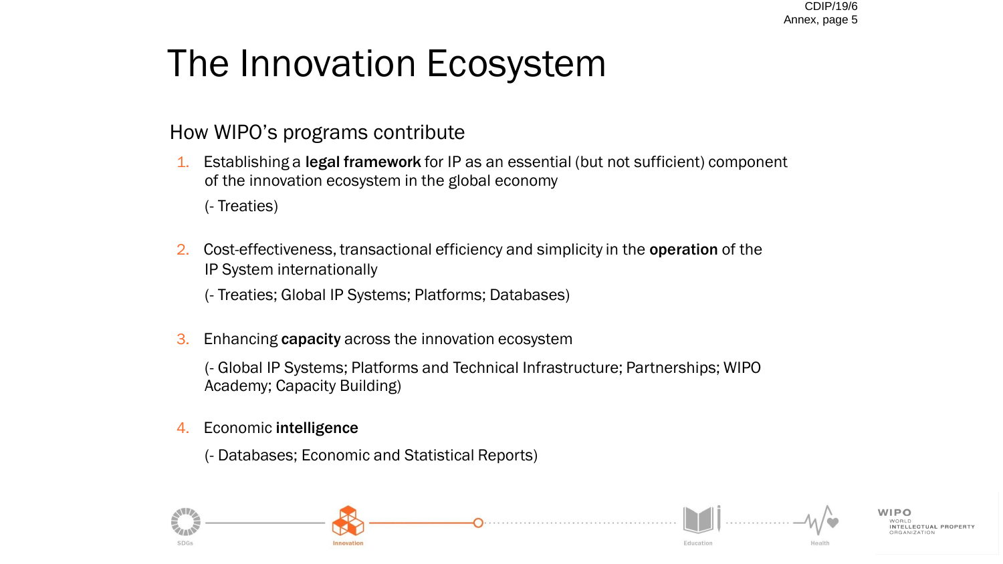# The Innovation Ecosystem

### How WIPO's programs contribute

1. Establishing a legal framework for IP as an essential (but not sufficient) component of the innovation ecosystem in the global economy

(- Treaties)

2. Cost-effectiveness, transactional efficiency and simplicity in the operation of the IP System internationally

(- Treaties; Global IP Systems; Platforms; Databases)

3. Enhancing capacity across the innovation ecosystem

(- Global IP Systems; Platforms and Technical Infrastructure; Partnerships; WIPO Academy; Capacity Building)

4. Economic intelligence

(- Databases; Economic and Statistical Reports)

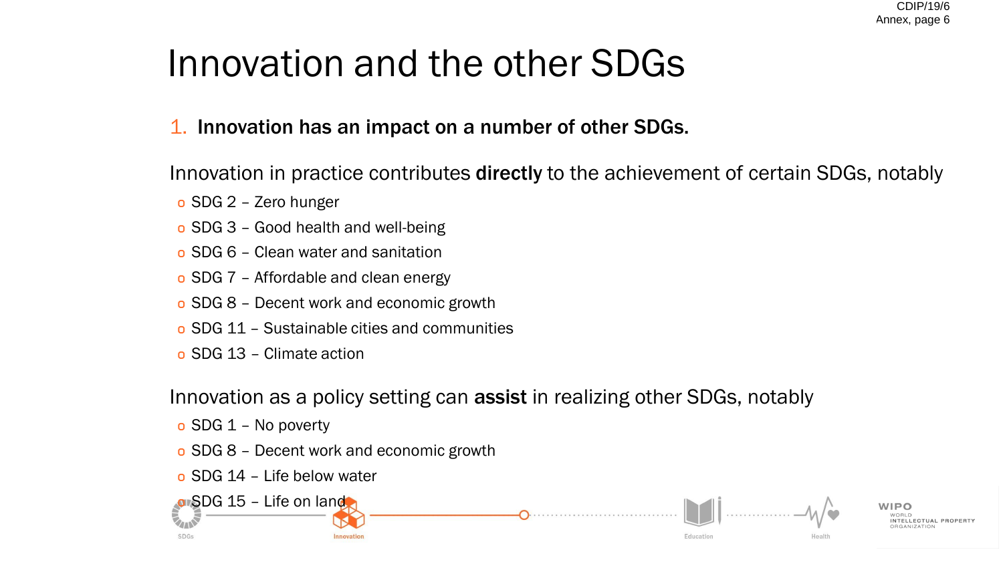# Innovation and the other SDGs

## 1. Innovation has an impact on a number of other SDGs.

Innovation in practice contributes directly to the achievement of certain SDGs, notably

Education

- o SDG 2 Zero hunger
- o SDG 3 Good health and well-being
- o SDG 6 Clean water and sanitation
- o SDG 7 Affordable and clean energy
- o SDG 8 Decent work and economic growth
- o SDG 11 Sustainable cities and communities
- o SDG 13 Climate action

Innovation as a policy setting can assist in realizing other SDGs, notably

- o SDG 1 No poverty
- o SDG 8 Decent work and economic growth
- o SDG 14 Life below water

or SDG 15 - Life on land

SDGs

INTELLECTUAL PROPERT

Health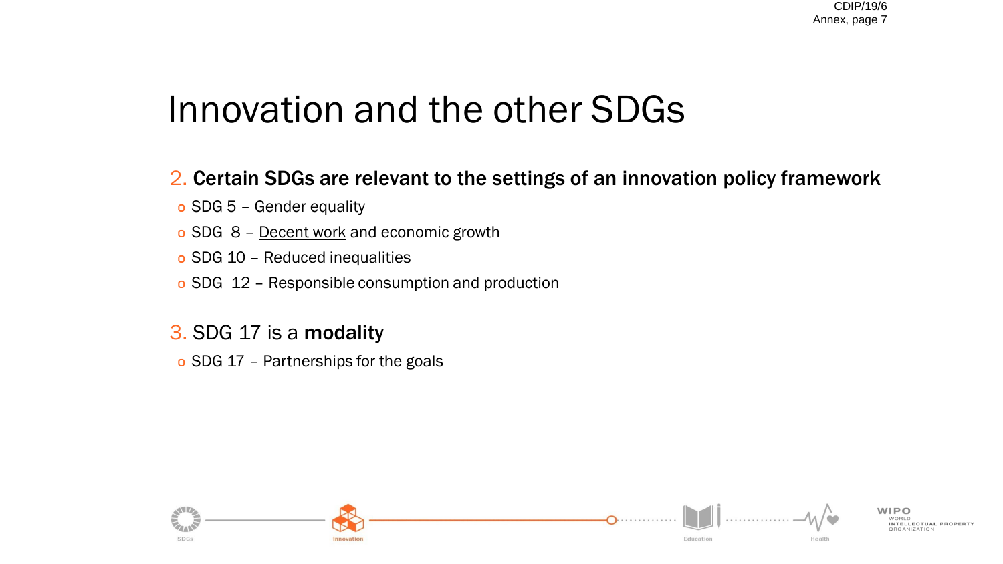## Innovation and the other SDGs

- 2. Certain SDGs are relevant to the settings of an innovation policy framework
- o SDG 5 Gender equality
- o SDG 8 Decent work and economic growth
- o SDG 10 Reduced inequalities
- o SDG 12 Responsible consumption and production
- 3. SDG 17 is a modality
- o SDG 17 Partnerships for the goals

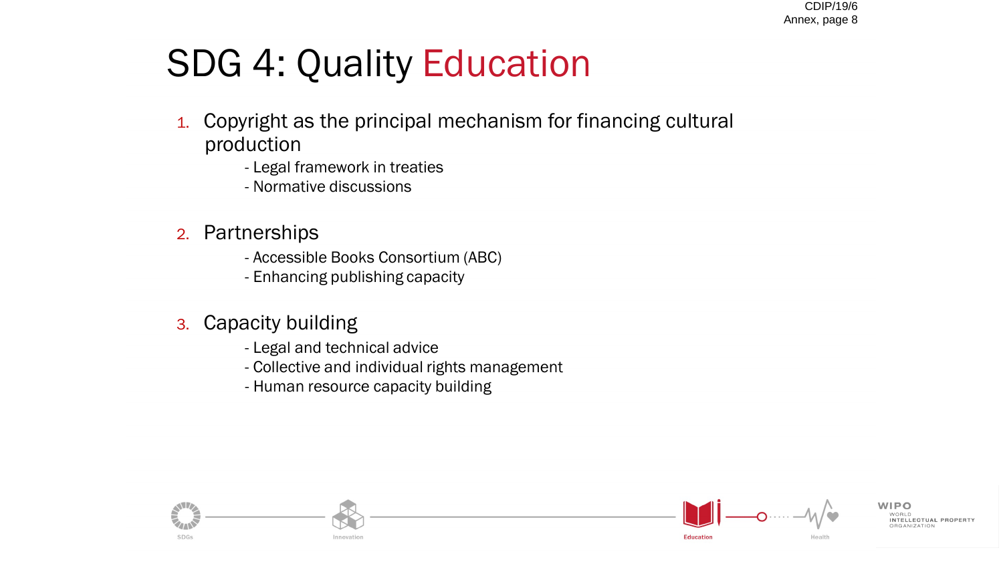## SDG 4: Quality Education

- 1. Copyright as the principal mechanism for financing cultural production
	- Legal framework in treaties
	- Normative discussions
- 2. Partnerships
	- Accessible Books Consortium (ABC)
	- Enhancing publishing capacity
- 3. Capacity building
	- Legal and technical advice
	- Collective and individual rights management
	- Human resource capacity building